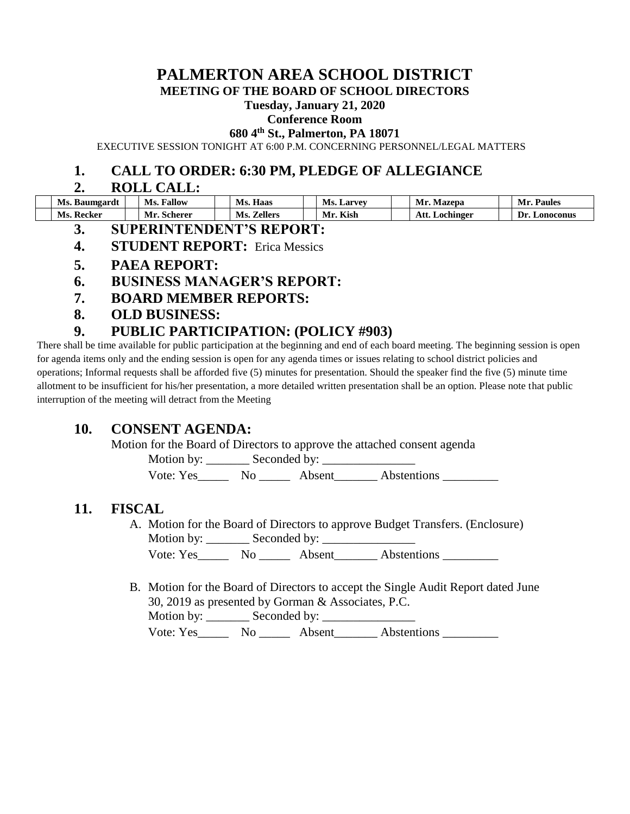# **PALMERTON AREA SCHOOL DISTRICT**

**MEETING OF THE BOARD OF SCHOOL DIRECTORS**

#### **Tuesday, January 21, 2020**

#### **Conference Room**

**680 4th St., Palmerton, PA 18071**

EXECUTIVE SESSION TONIGHT AT 6:00 P.M. CONCERNING PERSONNEL/LEGAL MATTERS

#### **1. CALL TO ORDER: 6:30 PM, PLEDGE OF ALLEGIANCE**

#### **2. ROLL CALL:**

| Ms. Baumgardt   | <b>Fallow</b><br>Ms. | Ms.<br>Haas           | Ms.<br>. Larvev   | Mr.<br>Mazepa       | Mr.<br>Paules    |
|-----------------|----------------------|-----------------------|-------------------|---------------------|------------------|
| . Kecker<br>Ms. | . Scherer<br>VIr.    | <b>Zellers</b><br>Ms. | <b>Kish</b><br>Mr | Att.<br>. Lochinger | Dr.<br>Lonoconus |

- **3. SUPERINTENDENT'S REPORT:**
- **4. STUDENT REPORT:** Erica Messics
- **5. PAEA REPORT:**
- **6. BUSINESS MANAGER'S REPORT:**
- **7. BOARD MEMBER REPORTS:**
- **8. OLD BUSINESS:**

### **9. PUBLIC PARTICIPATION: (POLICY #903)**

There shall be time available for public participation at the beginning and end of each board meeting. The beginning session is open for agenda items only and the ending session is open for any agenda times or issues relating to school district policies and operations; Informal requests shall be afforded five (5) minutes for presentation. Should the speaker find the five (5) minute time allotment to be insufficient for his/her presentation, a more detailed written presentation shall be an option. Please note that public interruption of the meeting will detract from the Meeting

#### **10. CONSENT AGENDA:**

Motion for the Board of Directors to approve the attached consent agenda

Motion by: \_\_\_\_\_\_\_ Seconded by: \_\_\_\_\_\_\_\_\_\_\_\_\_\_\_

Vote: Yes No Absent Abstentions

#### **11. FISCAL**

- A. Motion for the Board of Directors to approve Budget Transfers. (Enclosure) Motion by: \_\_\_\_\_\_\_ Seconded by: \_\_\_\_\_\_\_\_\_\_\_\_\_\_\_ Vote: Yes\_\_\_\_\_\_\_\_\_ No \_\_\_\_\_\_\_\_ Absent\_\_\_\_\_\_\_\_\_ Abstentions
	-
- B. Motion for the Board of Directors to accept the Single Audit Report dated June 30, 2019 as presented by Gorman & Associates, P.C. Motion by: \_\_\_\_\_\_\_ Seconded by: \_\_\_\_\_\_\_\_\_\_\_\_\_\_\_ Vote: Yes\_\_\_\_\_\_\_ No \_\_\_\_\_\_\_ Absent\_\_\_\_\_\_\_\_ Abstentions \_\_\_\_\_\_\_\_\_\_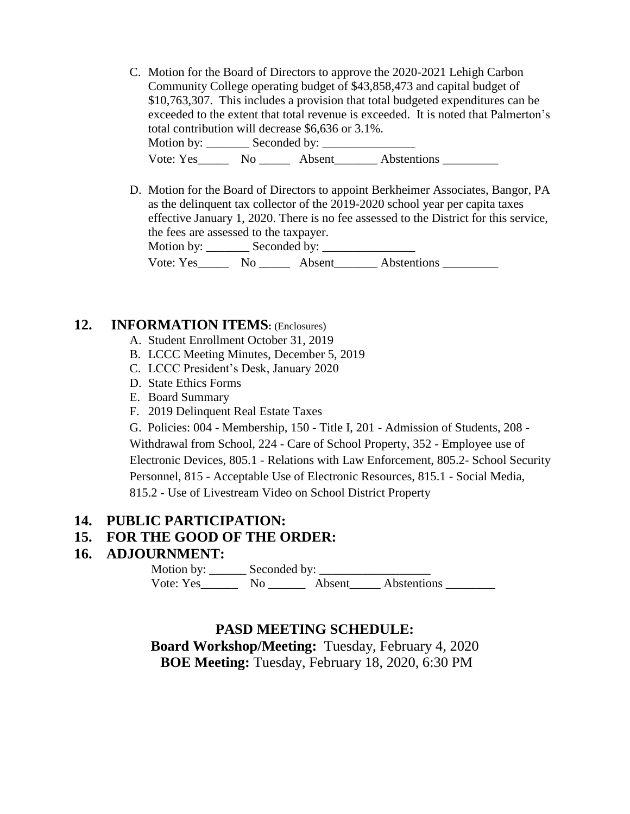- C. Motion for the Board of Directors to approve the 2020-2021 Lehigh Carbon Community College operating budget of \$43,858,473 and capital budget of \$10,763,307. This includes a provision that total budgeted expenditures can be exceeded to the extent that total revenue is exceeded. It is noted that Palmerton's total contribution will decrease \$6,636 or 3.1%. Motion by: \_\_\_\_\_\_\_ Seconded by: \_\_\_\_\_\_\_\_\_\_\_\_\_\_\_ Vote: Yes\_\_\_\_\_\_\_\_\_ No \_\_\_\_\_\_\_\_ Absent\_\_\_\_\_\_\_\_\_ Abstentions
- D. Motion for the Board of Directors to appoint Berkheimer Associates, Bangor, PA as the delinquent tax collector of the 2019-2020 school year per capita taxes effective January 1, 2020. There is no fee assessed to the District for this service, the fees are assessed to the taxpayer. Motion by: \_\_\_\_\_\_\_ Seconded by: \_\_\_\_\_\_\_\_\_\_\_\_\_\_\_ Vote: Yes\_\_\_\_\_\_\_ No \_\_\_\_\_\_\_ Absent\_\_\_\_\_\_\_\_ Abstentions \_\_\_\_\_\_\_\_\_\_\_

#### **12. INFORMATION ITEMS:** (Enclosures)

- A. Student Enrollment October 31, 2019
- B. LCCC Meeting Minutes, December 5, 2019
- C. LCCC President's Desk, January 2020
- D. State Ethics Forms
- E. Board Summary
- F. 2019 Delinquent Real Estate Taxes

G. Policies: 004 - Membership, 150 - Title I, 201 - Admission of Students, 208 - Withdrawal from School, 224 - Care of School Property, 352 - Employee use of Electronic Devices, 805.1 - Relations with Law Enforcement, 805.2- School Security Personnel, 815 - Acceptable Use of Electronic Resources, 815.1 - Social Media, 815.2 - Use of Livestream Video on School District Property

#### **14. PUBLIC PARTICIPATION:**

#### **15. FOR THE GOOD OF THE ORDER:**

#### **16. ADJOURNMENT:**

 Motion by: \_\_\_\_\_\_ Seconded by: \_\_\_\_\_\_\_\_\_\_\_\_\_\_\_\_\_\_ Vote: Yes\_\_\_\_\_\_\_\_ No \_\_\_\_\_\_\_ Absent\_\_\_\_\_\_ Abstentions \_\_\_\_\_\_\_\_

#### **PASD MEETING SCHEDULE:**

**Board Workshop/Meeting:** Tuesday, February 4, 2020 **BOE Meeting:** Tuesday, February 18, 2020, 6:30 PM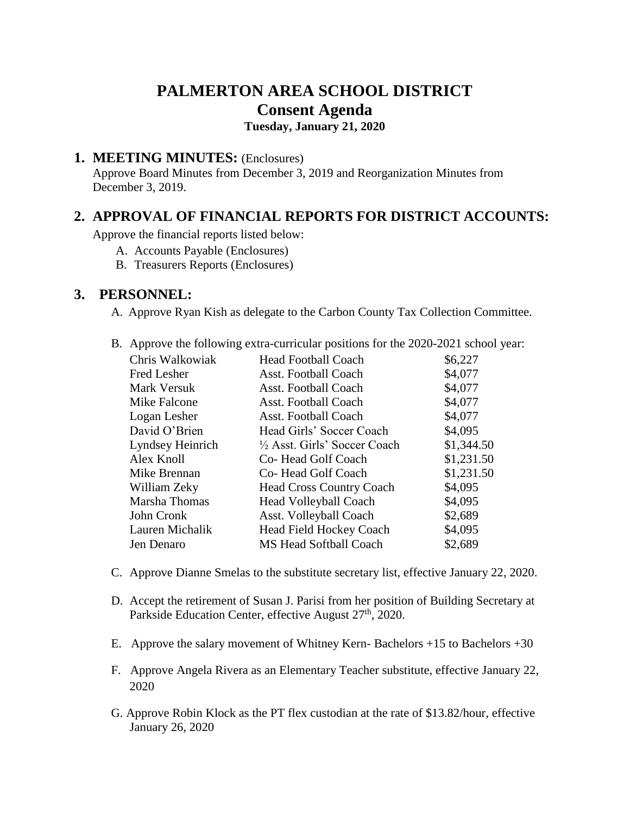# **PALMERTON AREA SCHOOL DISTRICT Consent Agenda Tuesday, January 21, 2020**

# **1. MEETING MINUTES:** (Enclosures)

Approve Board Minutes from December 3, 2019 and Reorganization Minutes from December 3, 2019.

# **2. APPROVAL OF FINANCIAL REPORTS FOR DISTRICT ACCOUNTS:**

Approve the financial reports listed below:

- A. Accounts Payable (Enclosures)
- B. Treasurers Reports (Enclosures)

#### **3. PERSONNEL:**

A. Approve Ryan Kish as delegate to the Carbon County Tax Collection Committee.

|                  | $\mu$ . Approve the following extra-curricular positions for the 2020-2021 school |            |
|------------------|-----------------------------------------------------------------------------------|------------|
| Chris Walkowiak  | <b>Head Football Coach</b>                                                        | \$6,227    |
| Fred Lesher      | <b>Asst. Football Coach</b>                                                       | \$4,077    |
| Mark Versuk      | Asst. Football Coach                                                              | \$4,077    |
| Mike Falcone     | Asst. Football Coach                                                              | \$4,077    |
| Logan Lesher     | Asst. Football Coach                                                              | \$4,077    |
| David O'Brien    | Head Girls' Soccer Coach                                                          | \$4,095    |
| Lyndsey Heinrich | 1/2 Asst. Girls' Soccer Coach                                                     | \$1,344.50 |
| Alex Knoll       | Co-Head Golf Coach                                                                | \$1,231.50 |
| Mike Brennan     | Co-Head Golf Coach                                                                | \$1,231.50 |
| William Zeky     | <b>Head Cross Country Coach</b>                                                   | \$4,095    |
| Marsha Thomas    | <b>Head Volleyball Coach</b>                                                      | \$4,095    |
| John Cronk       | Asst. Volleyball Coach                                                            | \$2,689    |
| Lauren Michalik  | <b>Head Field Hockey Coach</b>                                                    | \$4,095    |
| Jen Denaro       | MS Head Softball Coach                                                            | \$2,689    |
|                  |                                                                                   |            |

B. Approve the following extra-curricular positions for the 2020-2021 school year:

- C. Approve Dianne Smelas to the substitute secretary list, effective January 22, 2020.
- D. Accept the retirement of Susan J. Parisi from her position of Building Secretary at Parkside Education Center, effective August 27<sup>th</sup>, 2020.
- E. Approve the salary movement of Whitney Kern- Bachelors +15 to Bachelors +30
- F. Approve Angela Rivera as an Elementary Teacher substitute, effective January 22, 2020
- G. Approve Robin Klock as the PT flex custodian at the rate of \$13.82/hour, effective January 26, 2020